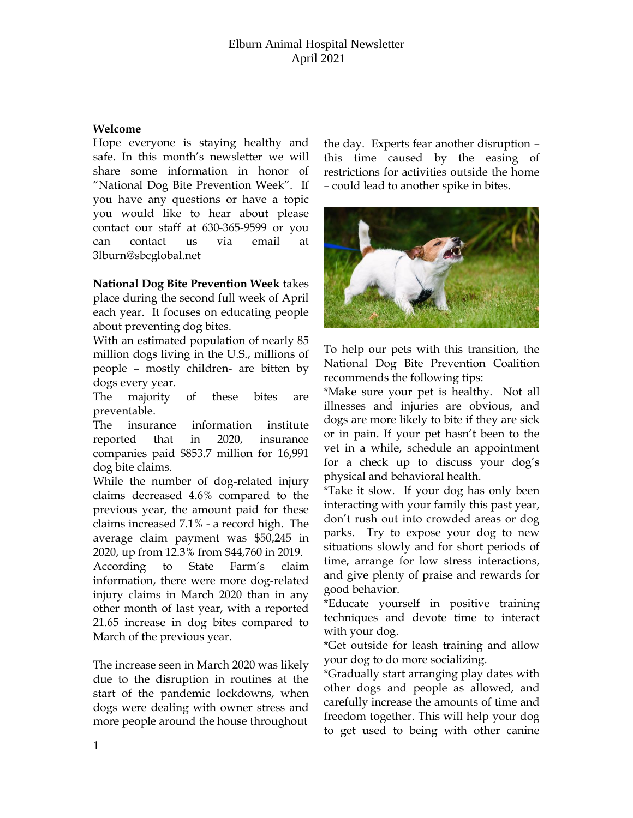## Elburn Animal Hospital Newsletter April 2021

## **Welcome**

Hope everyone is staying healthy and safe. In this month's newsletter we will share some information in honor of "National Dog Bite Prevention Week". If you have any questions or have a topic you would like to hear about please contact our staff at 630-365-9599 or you can contact us via email at 3lburn@sbcglobal.net

**National Dog Bite Prevention Week** takes place during the second full week of April each year. It focuses on educating people about preventing dog bites.

With an estimated population of nearly 85 million dogs living in the U.S., millions of people – mostly children- are bitten by dogs every year.

The majority of these bites are preventable.

The insurance information institute reported that in 2020, insurance companies paid \$853.7 million for 16,991 dog bite claims.

While the number of dog-related injury claims decreased 4.6% compared to the previous year, the amount paid for these claims increased 7.1% - a record high. The average claim payment was \$50,245 in 2020, up from 12.3% from \$44,760 in 2019.

According to State Farm's claim information, there were more dog-related injury claims in March 2020 than in any other month of last year, with a reported 21.65 increase in dog bites compared to March of the previous year.

The increase seen in March 2020 was likely due to the disruption in routines at the start of the pandemic lockdowns, when dogs were dealing with owner stress and more people around the house throughout

the day. Experts fear another disruption – this time caused by the easing of restrictions for activities outside the home – could lead to another spike in bites.



To help our pets with this transition, the National Dog Bite Prevention Coalition recommends the following tips:

\*Make sure your pet is healthy. Not all illnesses and injuries are obvious, and dogs are more likely to bite if they are sick or in pain. If your pet hasn't been to the vet in a while, schedule an appointment for a check up to discuss your dog's physical and behavioral health.

\*Take it slow. If your dog has only been interacting with your family this past year, don't rush out into crowded areas or dog parks. Try to expose your dog to new situations slowly and for short periods of time, arrange for low stress interactions, and give plenty of praise and rewards for good behavior.

\*Educate yourself in positive training techniques and devote time to interact with your dog.

\*Get outside for leash training and allow your dog to do more socializing.

\*Gradually start arranging play dates with other dogs and people as allowed, and carefully increase the amounts of time and freedom together. This will help your dog to get used to being with other canine